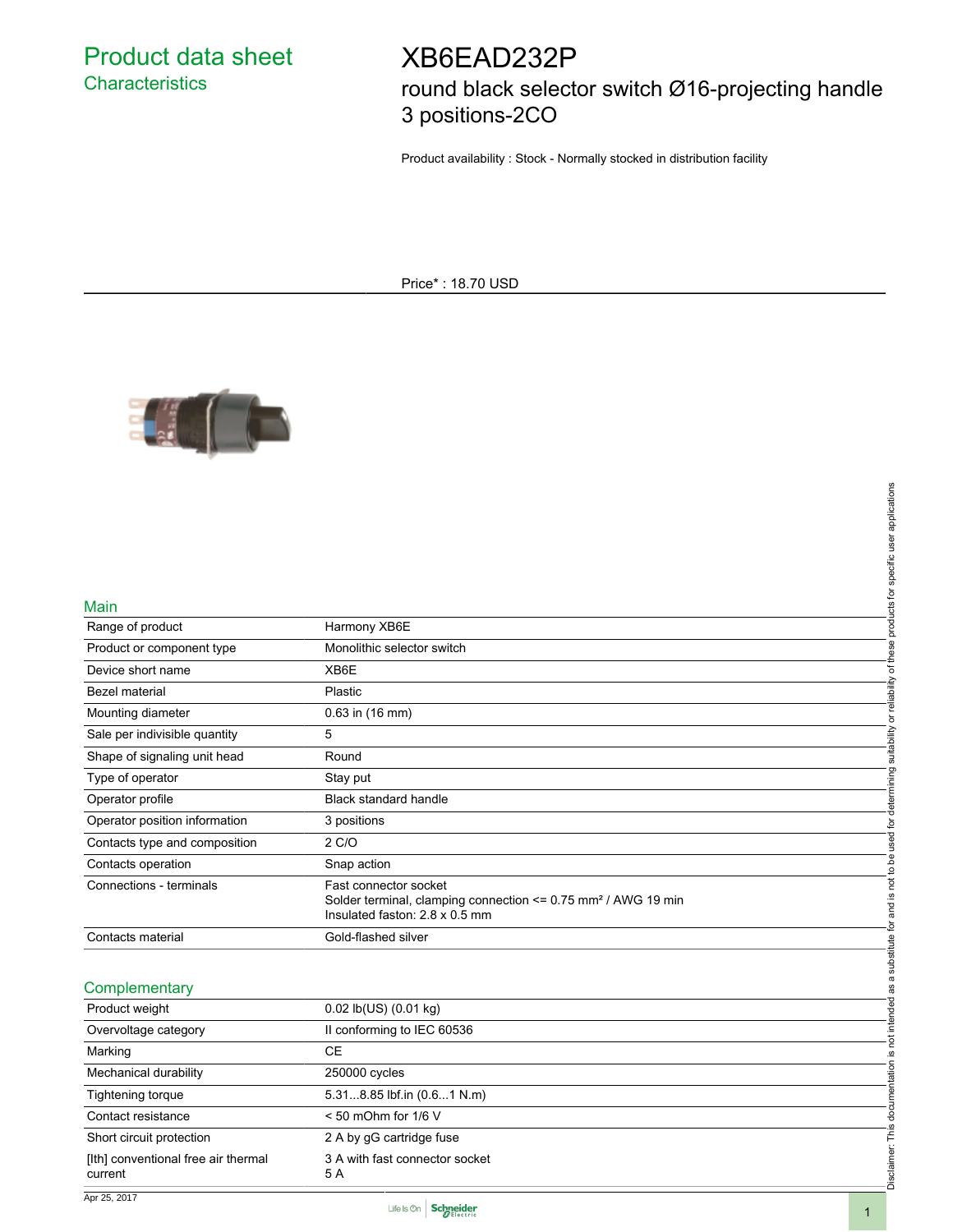Product data sheet **Characteristics** 

# XB6EAD232P

round black selector switch Ø16-projecting handle 3 positions-2CO

Product availability : Stock - Normally stocked in distribution facility

Price\* : 18.70 USD



#### Main

| Main                                           |                                                                                                             |                                                                                         |
|------------------------------------------------|-------------------------------------------------------------------------------------------------------------|-----------------------------------------------------------------------------------------|
| Range of product                               | Harmony XB6E                                                                                                |                                                                                         |
| Product or component type                      | Monolithic selector switch                                                                                  |                                                                                         |
| Device short name                              | XB6E                                                                                                        |                                                                                         |
| Bezel material                                 | Plastic                                                                                                     |                                                                                         |
| Mounting diameter                              | 0.63 in (16 mm)                                                                                             |                                                                                         |
| Sale per indivisible quantity                  | 5                                                                                                           | determining suitability or reliability of these products for specific user applications |
| Shape of signaling unit head                   | Round                                                                                                       |                                                                                         |
| Type of operator                               | Stay put                                                                                                    |                                                                                         |
| Operator profile                               | Black standard handle                                                                                       |                                                                                         |
| Operator position information                  | 3 positions                                                                                                 |                                                                                         |
| Contacts type and composition                  | 2 C/O                                                                                                       | and is not to be used for                                                               |
| Contacts operation                             | Snap action                                                                                                 |                                                                                         |
| Connections - terminals                        | Fast connector socket                                                                                       |                                                                                         |
|                                                | Solder terminal, clamping connection <= 0.75 mm <sup>2</sup> / AWG 19 min<br>Insulated faston: 2.8 x 0.5 mm |                                                                                         |
| Contacts material                              | Gold-flashed silver                                                                                         | not intended as a substitute for                                                        |
|                                                |                                                                                                             |                                                                                         |
| Complementary                                  |                                                                                                             |                                                                                         |
| Product weight                                 | 0.02 lb(US) (0.01 kg)                                                                                       |                                                                                         |
| Overvoltage category                           | Il conforming to IEC 60536                                                                                  |                                                                                         |
|                                                | <b>CE</b>                                                                                                   |                                                                                         |
| Marking                                        |                                                                                                             | <u>.ഗ</u>                                                                               |
| Mechanical durability                          | 250000 cycles                                                                                               |                                                                                         |
| Tightening torque                              | 5.318.85 lbf.in (0.61 N.m)                                                                                  |                                                                                         |
| Contact resistance                             | $< 50$ mOhm for $1/6$ V                                                                                     |                                                                                         |
| Short circuit protection                       | 2 A by gG cartridge fuse                                                                                    |                                                                                         |
| [Ith] conventional free air thermal<br>current | 3 A with fast connector socket<br>5 A                                                                       | Disclaimer: This documentation                                                          |
|                                                |                                                                                                             |                                                                                         |

#### **Complementary**

| Product weight                                 | $0.02$ lb(US) $(0.01$ kg)             |
|------------------------------------------------|---------------------------------------|
| Overvoltage category                           | Il conforming to IEC 60536            |
| Marking                                        | СE                                    |
| Mechanical durability                          | 250000 cycles                         |
| Tightening torque                              | 5.318.85 lbf.in (0.61 N.m)            |
| Contact resistance                             | $< 50$ mOhm for $1/6$ V               |
| Short circuit protection                       | 2 A by gG cartridge fuse              |
| [Ith] conventional free air thermal<br>current | 3 A with fast connector socket<br>5 A |
| .                                              |                                       |

Apr 25, 2017